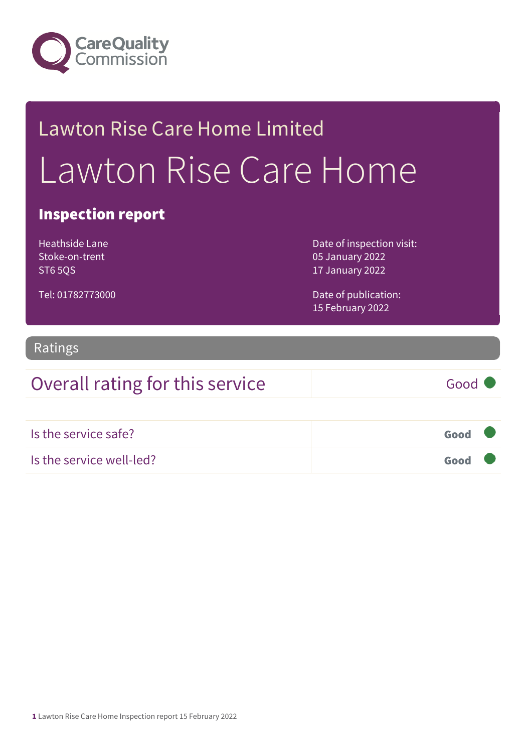

# Lawton Rise Care Home Limited Lawton Rise Care Home

### Inspection report

Heathside Lane Stoke-on-trent **ST6 5OS** 

Tel: 01782773000

Date of inspection visit: 05 January 2022 17 January 2022

Date of publication: 15 February 2022

### Ratings

## Overall rating for this service Good Is the service safe? Good Is the service well-led? Good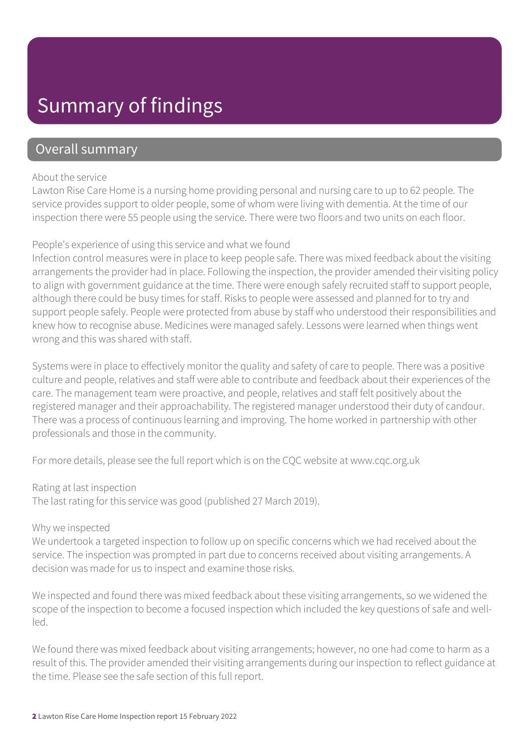### Summary of findings

### Overall summary

#### About the service

Lawton Rise Care Home is a nursing home providing personal and nursing care to up to 62 people. The service provides support to older people, some of whom were living with dementia. At the time of our inspection there were 55 people using the service. There were two floors and two units on each floor.

### People's experience of using this service and what we found

Infection control measures were in place to keep people safe. There was mixed feedback about the visiting arrangements the provider had in place. Following the inspection, the provider amended their visiting policy to align with government guidance at the time. There were enough safely recruited staff to support people, although there could be busy times for staff. Risks to people were assessed and planned for to try and support people safely. People were protected from abuse by staff who understood their responsibilities and knew how to recognise abuse. Medicines were managed safely. Lessons were learned when things went wrong and this was shared with staff.

Systems were in place to effectively monitor the quality and safety of care to people. There was a positive culture and people, relatives and staff were able to contribute and feedback about their experiences of the care. The management team were proactive, and people, relatives and staff felt positively about the registered manager and their approachability. The registered manager understood their duty of candour. There was a process of continuous learning and improving. The home worked in partnership with other professionals and those in the community.

For more details, please see the full report which is on the CQC website at www.cqc.org.uk

#### Rating at last inspection

The last rating for this service was good (published 27 March 2019).

#### Why we inspected

We undertook a targeted inspection to follow up on specific concerns which we had received about the service. The inspection was prompted in part due to concerns received about visiting arrangements. A decision was made for us to inspect and examine those risks.

We inspected and found there was mixed feedback about these visiting arrangements, so we widened the scope of the inspection to become a focused inspection which included the key questions of safe and wellled.

We found there was mixed feedback about visiting arrangements; however, no one had come to harm as a result of this. The provider amended their visiting arrangements during our inspection to reflect guidance at the time. Please see the safe section of this full report.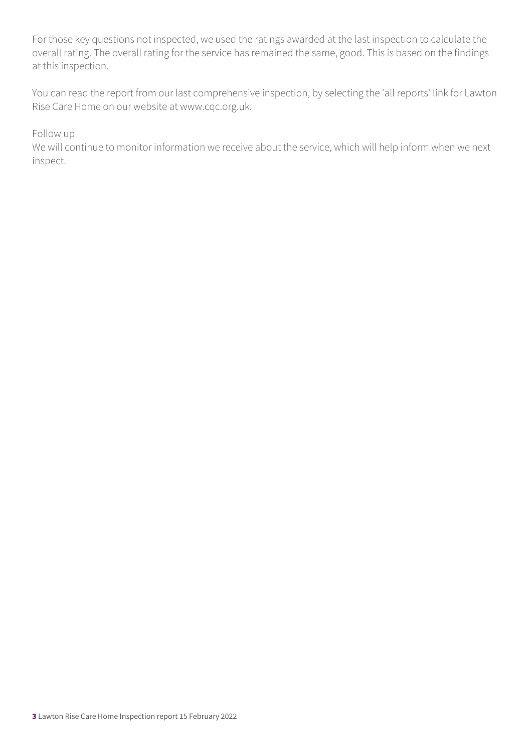For those key questions not inspected, we used the ratings awarded at the last inspection to calculate the overall rating. The overall rating for the service has remained the same, good. This is based on the findings at this inspection.

You can read the report from our last comprehensive inspection, by selecting the 'all reports' link for Lawton Rise Care Home on our website at www.cqc.org.uk.

Follow up

We will continue to monitor information we receive about the service, which will help inform when we next inspect.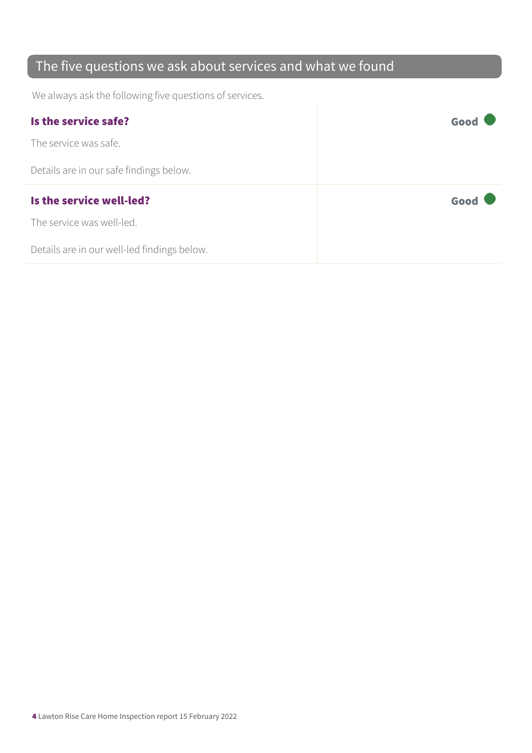### The five questions we ask about services and what we found

We always ask the following five questions of services.

| Is the service safe?                    | Good |
|-----------------------------------------|------|
| The service was safe.                   |      |
| Details are in our safe findings below. |      |
|                                         |      |
| Is the service well-led?                | Good |
| The service was well-led.               |      |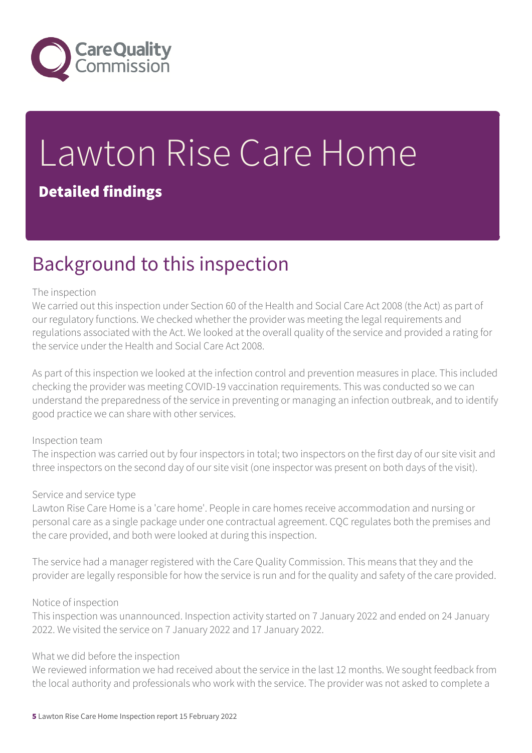

# Lawton Rise Care Home

### Detailed findings

### Background to this inspection

### The inspection

We carried out this inspection under Section 60 of the Health and Social Care Act 2008 (the Act) as part of our regulatory functions. We checked whether the provider was meeting the legal requirements and regulations associated with the Act. We looked at the overall quality of the service and provided a rating for the service under the Health and Social Care Act 2008.

As part of this inspection we looked at the infection control and prevention measures in place. This included checking the provider was meeting COVID-19 vaccination requirements. This was conducted so we can understand the preparedness of the service in preventing or managing an infection outbreak, and to identify good practice we can share with other services.

#### Inspection team

The inspection was carried out by four inspectors in total; two inspectors on the first day of our site visit and three inspectors on the second day of our site visit (one inspector was present on both days of the visit).

#### Service and service type

Lawton Rise Care Home is a 'care home'. People in care homes receive accommodation and nursing or personal care as a single package under one contractual agreement. CQC regulates both the premises and the care provided, and both were looked at during this inspection.

The service had a manager registered with the Care Quality Commission. This means that they and the provider are legally responsible for how the service is run and for the quality and safety of the care provided.

### Notice of inspection

This inspection was unannounced. Inspection activity started on 7 January 2022 and ended on 24 January 2022. We visited the service on 7 January 2022 and 17 January 2022.

### What we did before the inspection

We reviewed information we had received about the service in the last 12 months. We sought feedback from the local authority and professionals who work with the service. The provider was not asked to complete a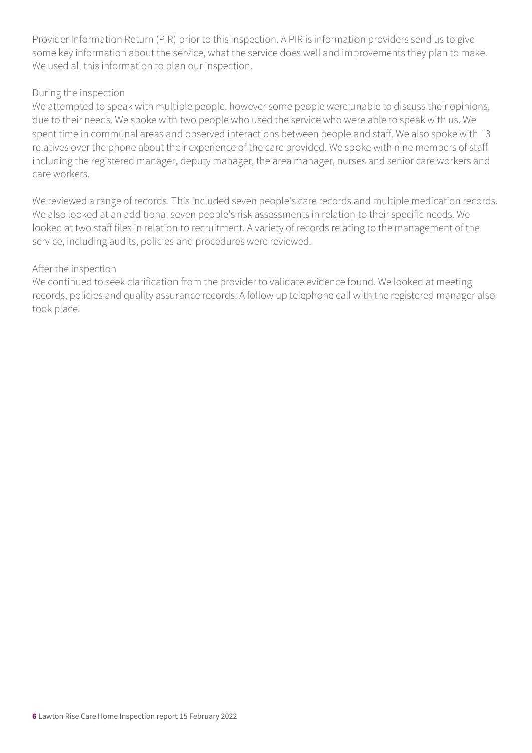Provider Information Return (PIR) prior to this inspection. A PIR is information providers send us to give some key information about the service, what the service does well and improvements they plan to make. We used all this information to plan our inspection.

### During the inspection

We attempted to speak with multiple people, however some people were unable to discuss their opinions, due to their needs. We spoke with two people who used the service who were able to speak with us. We spent time in communal areas and observed interactions between people and staff. We also spoke with 13 relatives over the phone about their experience of the care provided. We spoke with nine members of staff including the registered manager, deputy manager, the area manager, nurses and senior care workers and care workers.

We reviewed a range of records. This included seven people's care records and multiple medication records. We also looked at an additional seven people's risk assessments in relation to their specific needs. We looked at two staff files in relation to recruitment. A variety of records relating to the management of the service, including audits, policies and procedures were reviewed.

### After the inspection

We continued to seek clarification from the provider to validate evidence found. We looked at meeting records, policies and quality assurance records. A follow up telephone call with the registered manager also took place.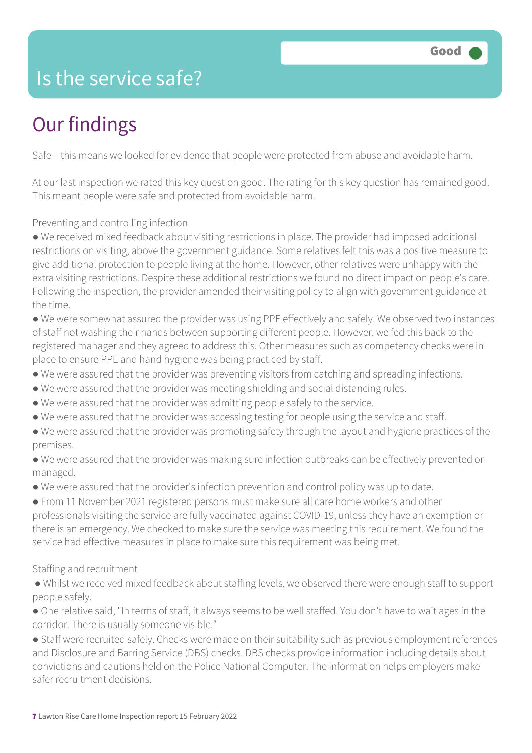### Is the service safe?

### Our findings

Safe – this means we looked for evidence that people were protected from abuse and avoidable harm.

At our last inspection we rated this key question good. The rating for this key question has remained good. This meant people were safe and protected from avoidable harm.

Preventing and controlling infection

● We received mixed feedback about visiting restrictions in place. The provider had imposed additional restrictions on visiting, above the government guidance. Some relatives felt this was a positive measure to give additional protection to people living at the home. However, other relatives were unhappy with the extra visiting restrictions. Despite these additional restrictions we found no direct impact on people's care. Following the inspection, the provider amended their visiting policy to align with government guidance at the time.

● We were somewhat assured the provider was using PPE effectively and safely. We observed two instances of staff not washing their hands between supporting different people. However, we fed this back to the registered manager and they agreed to address this. Other measures such as competency checks were in place to ensure PPE and hand hygiene was being practiced by staff.

- We were assured that the provider was preventing visitors from catching and spreading infections.
- We were assured that the provider was meeting shielding and social distancing rules.
- We were assured that the provider was admitting people safely to the service.
- We were assured that the provider was accessing testing for people using the service and staff.
- We were assured that the provider was promoting safety through the layout and hygiene practices of the premises.

● We were assured that the provider was making sure infection outbreaks can be effectively prevented or managed.

● We were assured that the provider's infection prevention and control policy was up to date.

● From 11 November 2021 registered persons must make sure all care home workers and other professionals visiting the service are fully vaccinated against COVID-19, unless they have an exemption or there is an emergency. We checked to make sure the service was meeting this requirement. We found the service had effective measures in place to make sure this requirement was being met.

Staffing and recruitment

● Whilst we received mixed feedback about staffing levels, we observed there were enough staff to support people safely.

● One relative said, "In terms of staff, it always seems to be well staffed. You don't have to wait ages in the corridor. There is usually someone visible."

● Staff were recruited safely. Checks were made on their suitability such as previous employment references and Disclosure and Barring Service (DBS) checks. DBS checks provide information including details about convictions and cautions held on the Police National Computer. The information helps employers make safer recruitment decisions.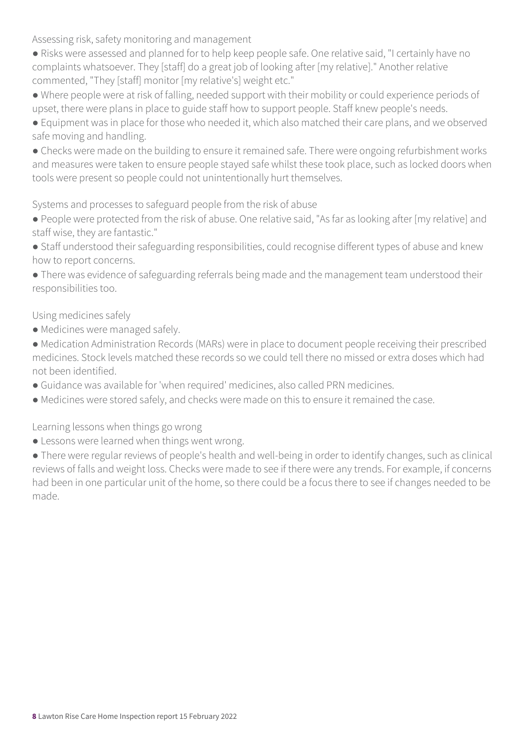Assessing risk, safety monitoring and management

- Risks were assessed and planned for to help keep people safe. One relative said, "I certainly have no complaints whatsoever. They [staff] do a great job of looking after [my relative]." Another relative commented, "They [staff] monitor [my relative's] weight etc."
- Where people were at risk of falling, needed support with their mobility or could experience periods of upset, there were plans in place to guide staff how to support people. Staff knew people's needs.
- Equipment was in place for those who needed it, which also matched their care plans, and we observed safe moving and handling.
- Checks were made on the building to ensure it remained safe. There were ongoing refurbishment works and measures were taken to ensure people stayed safe whilst these took place, such as locked doors when tools were present so people could not unintentionally hurt themselves.

Systems and processes to safeguard people from the risk of abuse

- People were protected from the risk of abuse. One relative said, "As far as looking after [my relative] and staff wise, they are fantastic."
- Staff understood their safeguarding responsibilities, could recognise different types of abuse and knew how to report concerns.
- There was evidence of safeguarding referrals being made and the management team understood their responsibilities too.

Using medicines safely

- Medicines were managed safely.
- Medication Administration Records (MARs) were in place to document people receiving their prescribed medicines. Stock levels matched these records so we could tell there no missed or extra doses which had not been identified.
- Guidance was available for 'when required' medicines, also called PRN medicines.
- Medicines were stored safely, and checks were made on this to ensure it remained the case.

Learning lessons when things go wrong

• Lessons were learned when things went wrong.

● There were regular reviews of people's health and well-being in order to identify changes, such as clinical reviews of falls and weight loss. Checks were made to see if there were any trends. For example, if concerns had been in one particular unit of the home, so there could be a focus there to see if changes needed to be made.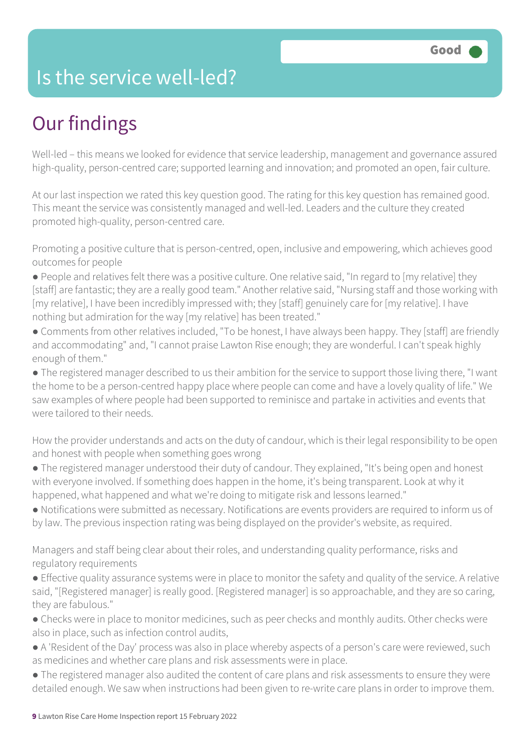### Is the service well-led?

### Our findings

Well-led – this means we looked for evidence that service leadership, management and governance assured high-quality, person-centred care; supported learning and innovation; and promoted an open, fair culture.

At our last inspection we rated this key question good. The rating for this key question has remained good. This meant the service was consistently managed and well-led. Leaders and the culture they created promoted high-quality, person-centred care.

Promoting a positive culture that is person-centred, open, inclusive and empowering, which achieves good outcomes for people

- People and relatives felt there was a positive culture. One relative said, "In regard to [my relative] they [staff] are fantastic; they are a really good team." Another relative said, "Nursing staff and those working with [my relative], I have been incredibly impressed with; they [staff] genuinely care for [my relative]. I have nothing but admiration for the way [my relative] has been treated."
- Comments from other relatives included, "To be honest, I have always been happy. They [staff] are friendly and accommodating" and, "I cannot praise Lawton Rise enough; they are wonderful. I can't speak highly enough of them."
- The registered manager described to us their ambition for the service to support those living there, "I want the home to be a person-centred happy place where people can come and have a lovely quality of life." We saw examples of where people had been supported to reminisce and partake in activities and events that were tailored to their needs.

How the provider understands and acts on the duty of candour, which is their legal responsibility to be open and honest with people when something goes wrong

- The registered manager understood their duty of candour. They explained, "It's being open and honest with everyone involved. If something does happen in the home, it's being transparent. Look at why it happened, what happened and what we're doing to mitigate risk and lessons learned."
- Notifications were submitted as necessary. Notifications are events providers are required to inform us of by law. The previous inspection rating was being displayed on the provider's website, as required.

Managers and staff being clear about their roles, and understanding quality performance, risks and regulatory requirements

- Effective quality assurance systems were in place to monitor the safety and quality of the service. A relative said, "[Registered manager] is really good. [Registered manager] is so approachable, and they are so caring, they are fabulous."
- Checks were in place to monitor medicines, such as peer checks and monthly audits. Other checks were also in place, such as infection control audits,
- A 'Resident of the Day' process was also in place whereby aspects of a person's care were reviewed, such as medicines and whether care plans and risk assessments were in place.
- The registered manager also audited the content of care plans and risk assessments to ensure they were detailed enough. We saw when instructions had been given to re-write care plans in order to improve them.